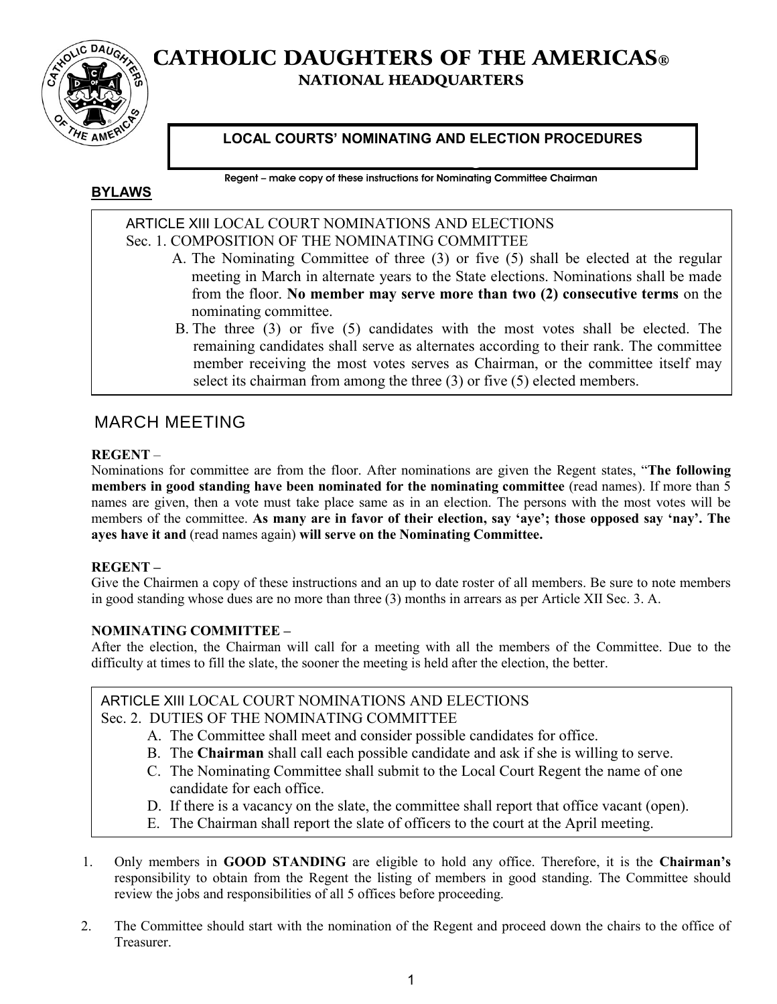CATHOLIC DAUGHTERS OF THE AMERICAS®

NATIONAL HEADQUARTERS



# **LOCAL COURTS' NOMINATING AND ELECTION PROCEDURES**

**Regent – make copy of these instructions for Nominating Committee Chairman**

# **BYLAWS**

### ARTICLE XIII LOCAL COURT NOMINATIONS AND ELECTIONS Sec. 1. COMPOSITION OF THE NOMINATING COMMITTEE

- A. The Nominating Committee of three (3) or five (5) shall be elected at the regular meeting in March in alternate years to the State elections. Nominations shall be made from the floor. **No member may serve more than two (2) consecutive terms** on the nominating committee.
- B. The three (3) or five (5) candidates with the most votes shall be elected. The remaining candidates shall serve as alternates according to their rank. The committee member receiving the most votes serves as Chairman, or the committee itself may select its chairman from among the three (3) or five (5) elected members.

# **MARCH MEETING**

# **REGENT** –

Nominations for committee are from the floor. After nominations are given the Regent states, "**The following members in good standing have been nominated for the nominating committee** (read names). If more than 5 names are given, then a vote must take place same as in an election. The persons with the most votes will be members of the committee. As many are in favor of their election, say 'ave'; those opposed say 'nay'. The **ayes have it and** (read names again) **will serve on the Nominating Committee.** 

# **REGENT –**

Give the Chairmen a copy of these instructions and an up to date roster of all members. Be sure to note members in good standing whose dues are no more than three (3) months in arrears as per Article XII Sec. 3. A.

# **NOMINATING COMMITTEE –**

After the election, the Chairman will call for a meeting with all the members of the Committee. Due to the difficulty at times to fill the slate, the sooner the meeting is held after the election, the better.

# ARTICLE XIII LOCAL COURT NOMINATIONS AND ELECTIONS

Sec. 2. DUTIES OF THE NOMINATING COMMITTEE

- A. The Committee shall meet and consider possible candidates for office.
- B. The **Chairman** shall call each possible candidate and ask if she is willing to serve.
- C. The Nominating Committee shall submit to the Local Court Regent the name of one candidate for each office.
- D. If there is a vacancy on the slate, the committee shall report that office vacant (open).
- E. The Chairman shall report the slate of officers to the court at the April meeting.
- 1. Only members in **GOOD STANDING** are eligible to hold any office. Therefore, it is the **Chairman"s** responsibility to obtain from the Regent the listing of members in good standing. The Committee should review the jobs and responsibilities of all 5 offices before proceeding.
- 2. The Committee should start with the nomination of the Regent and proceed down the chairs to the office of Treasurer.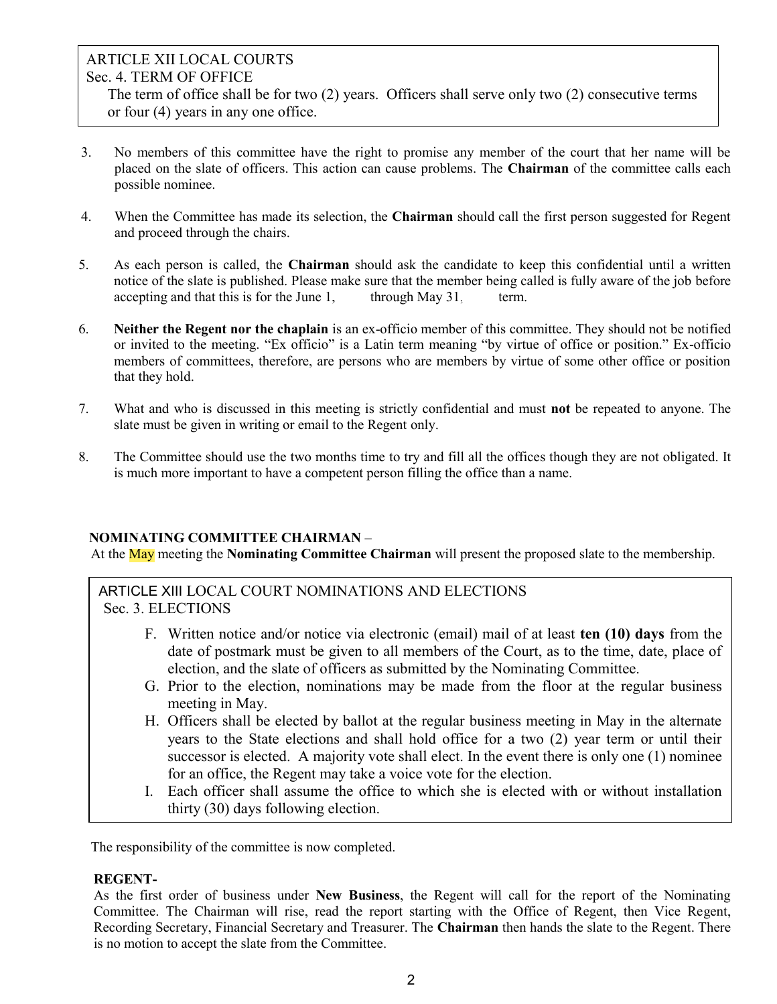## ARTICLE XII LOCAL COURTS Sec. 4. TERM OF OFFICE The term of office shall be for two (2) years. Officers shall serve only two (2) consecutive terms or four (4) years in any one office.

- 3. No members of this committee have the right to promise any member of the court that her name will be placed on the slate of officers. This action can cause problems. The **Chairman** of the committee calls each possible nominee.
- 4. When the Committee has made its selection, the **Chairman** should call the first person suggested for Regent and proceed through the chairs.
- 5. As each person is called, the **Chairman** should ask the candidate to keep this confidential until a written notice of the slate is published. Please make sure that the member being called is fully aware of the job before  $\alpha$  accepting and that this is for the June 1,  $\alpha$  through May 31,  $\alpha$  term. through May 31.
- 6. **Neither the Regent nor the chaplain** is an ex-officio member of this committee. They should not be notified or invited to the meeting. "Ex officio" is a Latin term meaning "by virtue of office or position." Ex-officio members of committees, therefore, are persons who are members by virtue of some other office or position that they hold.
- 7. What and who is discussed in this meeting is strictly confidential and must **not** be repeated to anyone. The slate must be given in writing or email to the Regent only.
- 8. The Committee should use the two months time to try and fill all the offices though they are not obligated. It is much more important to have a competent person filling the office than a name.

## **NOMINATING COMMITTEE CHAIRMAN** –

At the May meeting the **Nominating Committee Chairman** will present the proposed slate to the membership.

## ARTICLE XIII LOCAL COURT NOMINATIONS AND ELECTIONS Sec. 3. ELECTIONS

- F. Written notice and/or notice via electronic (email) mail of at least **ten (10) days** from the date of postmark must be given to all members of the Court, as to the time, date, place of election, and the slate of officers as submitted by the Nominating Committee.
- G. Prior to the election, nominations may be made from the floor at the regular business meeting in May.
- H. Officers shall be elected by ballot at the regular business meeting in May in the alternate years to the State elections and shall hold office for a two (2) year term or until their successor is elected. A majority vote shall elect. In the event there is only one (1) nominee for an office, the Regent may take a voice vote for the election.
- I. Each officer shall assume the office to which she is elected with or without installation thirty (30) days following election.

The responsibility of the committee is now completed.

#### **REGENT-**

As the first order of business under **New Business**, the Regent will call for the report of the Nominating Committee. The Chairman will rise, read the report starting with the Office of Regent, then Vice Regent, Recording Secretary, Financial Secretary and Treasurer. The **Chairman** then hands the slate to the Regent. There is no motion to accept the slate from the Committee.